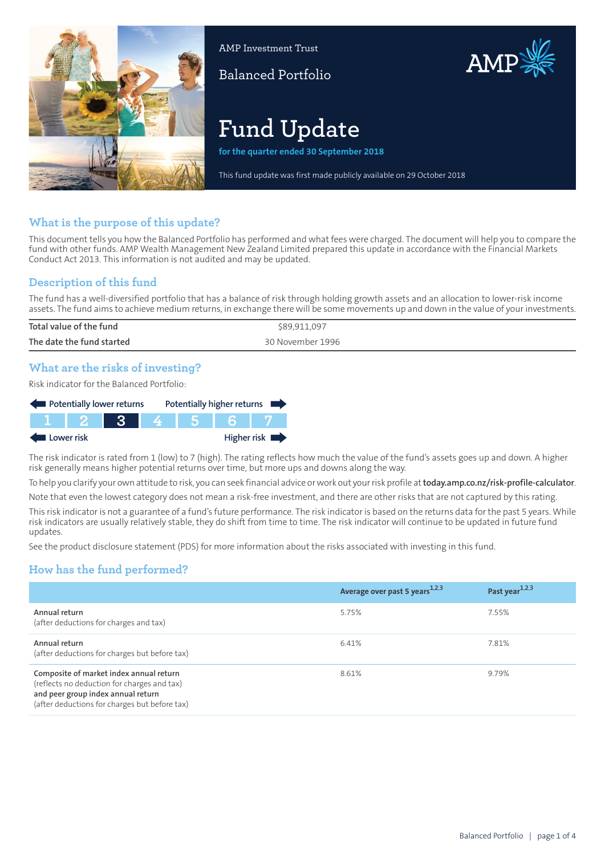

AMP Investment Trust

Balanced Portfolio

# AMP

# **Fund Update**

**for the quarter ended 30 September 2018**

This fund update was first made publicly available on 29 October 2018

# **What is the purpose of this update?**

This document tells you how the Balanced Portfolio has performed and what fees were charged. The document will help you to compare the fund with other funds. AMP Wealth Management New Zealand Limited prepared this update in accordance with the Financial Markets Conduct Act 2013. This information is not audited and may be updated.

## **Description of this fund**

The fund has a well-diversified portfolio that has a balance of risk through holding growth assets and an allocation to lower-risk income assets. The fund aims to achieve medium returns, in exchange there will be some movements up and down in the value of your investments.

| Total value of the fund   | \$89,911,097     |
|---------------------------|------------------|
| The date the fund started | 30 November 1996 |
|                           |                  |

## **What are the risks of investing?**

Risk indicator for the Balanced Portfolio:

| Potentially lower returns |         |            |     | Potentially higher returns |
|---------------------------|---------|------------|-----|----------------------------|
|                           | VI 12 I | <b>TRA</b> | 456 |                            |
| Lower risk                |         |            |     | Higher risk $\blacksquare$ |

The risk indicator is rated from 1 (low) to 7 (high). The rating reflects how much the value of the fund's assets goes up and down. A higher risk generally means higher potential returns over time, but more ups and downs along the way.

To help you clarify your own attitude to risk, you can seek financial advice orwork out yourrisk profile at**[today.amp.co.nz/risk-profile-calculator](http://today.amp.co.nz/risk-profile-calculator)**.

Note that even the lowest category does not mean a risk-free investment, and there are other risks that are not captured by this rating. This risk indicator is not a guarantee of a fund's future performance. The risk indicator is based on the returns data for the past 5 years. While

risk indicators are usually relatively stable, they do shift from time to time. The risk indicator will continue to be updated in future fund updates.

See the product disclosure statement (PDS) for more information about the risks associated with investing in this fund.

# **How has the fund performed?**

|                                                                                                                                                                               | Average over past 5 years <sup>1,2,3</sup> | Past year <sup>1,2,3</sup> |
|-------------------------------------------------------------------------------------------------------------------------------------------------------------------------------|--------------------------------------------|----------------------------|
| Annual return<br>(after deductions for charges and tax)                                                                                                                       | 5.75%                                      | 7.55%                      |
| Annual return<br>(after deductions for charges but before tax)                                                                                                                | 6.41%                                      | 7.81%                      |
| Composite of market index annual return<br>(reflects no deduction for charges and tax)<br>and peer group index annual return<br>(after deductions for charges but before tax) | 8.61%                                      | 9.79%                      |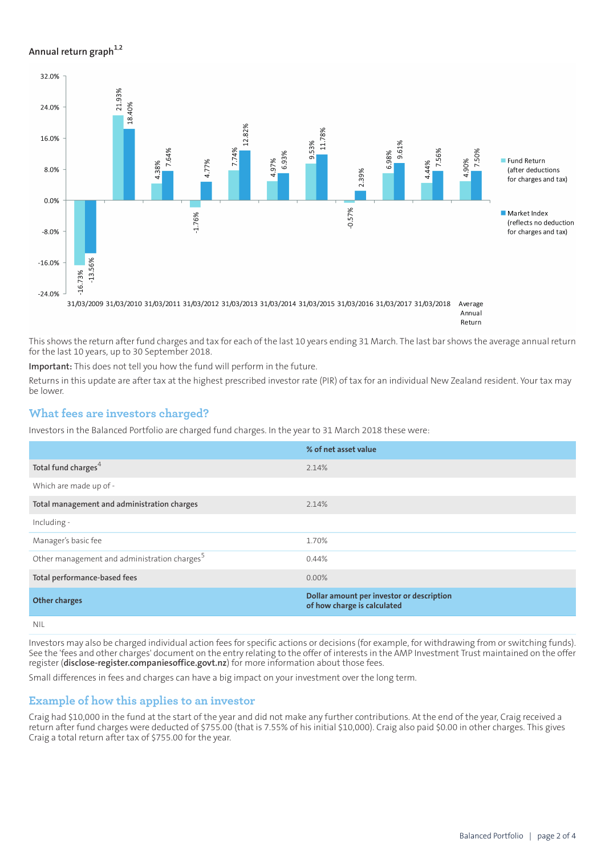#### **Annual return graph[1](#page-3-0),[2](#page-3-1)**



This shows the return after fund charges and tax for each of the last 10 years ending 31 March. The last bar shows the average annual return for the last 10 years, up to 30 September 2018.

**Important:** This does not tell you how the fund will perform in the future.

Returns in this update are after tax at the highest prescribed investor rate (PIR) of tax for an individual New Zealand resident. Your tax may be lower.

#### **What fees are investors charged?**

Investors in the Balanced Portfolio are charged fund charges. In the year to 31 March 2018 these were:

|                                                          | % of net asset value                                                     |
|----------------------------------------------------------|--------------------------------------------------------------------------|
| Total fund charges <sup>4</sup>                          | 2.14%                                                                    |
| Which are made up of -                                   |                                                                          |
| Total management and administration charges              | 2.14%                                                                    |
| Including -                                              |                                                                          |
| Manager's basic fee                                      | 1.70%                                                                    |
| Other management and administration charges <sup>5</sup> | 0.44%                                                                    |
| Total performance-based fees                             | $0.00\%$                                                                 |
| <b>Other charges</b>                                     | Dollar amount per investor or description<br>of how charge is calculated |

NIL

Investors may also be charged individual action fees for specific actions or decisions (for example, for withdrawing from or switching funds). See the 'fees and other charges' document on the entry relating to the offer of interests in the AMP Investment Trust maintained on the offer register (**[disclose-register.companiesoffice.govt.nz](https://disclose-register.companiesoffice.govt.nz/)**) for more information about those fees.

Small differences in fees and charges can have a big impact on your investment over the long term.

#### **Example of how this applies to an investor**

Craig had \$10,000 in the fund at the start of the year and did not make any further contributions. At the end of the year, Craig received a return after fund charges were deducted of \$755.00 (that is 7.55% of his initial \$10,000). Craig also paid \$0.00 in other charges. This gives Craig a total return after tax of \$755.00 for the year.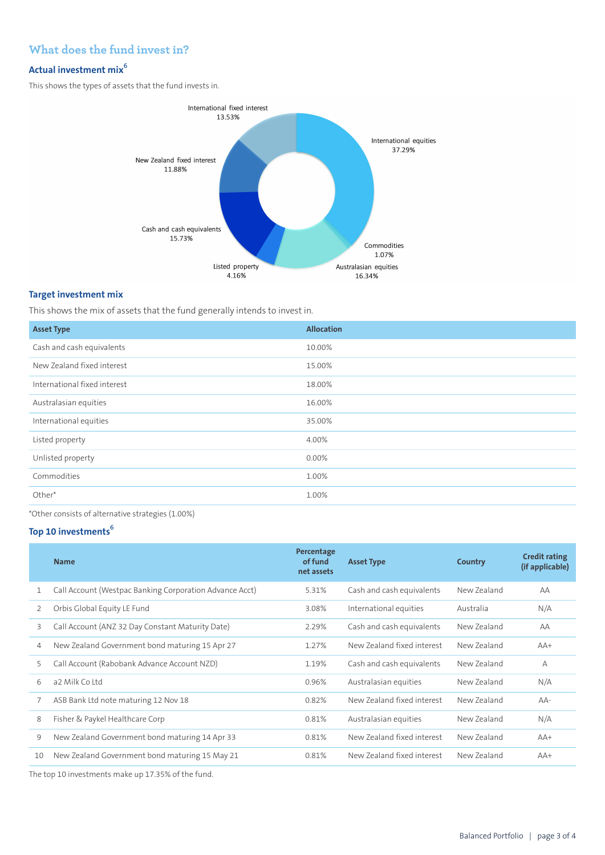# **What does the fund invest in?**

# **Actual investment mix<sup>6</sup>**

This shows the types of assets that the fund invests in.



#### **Target investment mix**

This shows the mix of assets that the fund generally intends to invest in.

| <b>Asset Type</b>            | <b>Allocation</b> |
|------------------------------|-------------------|
| Cash and cash equivalents    | 10.00%            |
| New Zealand fixed interest   | 15.00%            |
| International fixed interest | 18.00%            |
| Australasian equities        | 16.00%            |
| International equities       | 35.00%            |
| Listed property              | 4.00%             |
| Unlisted property            | 0.00%             |
| Commodities                  | 1.00%             |
| Other*                       | 1.00%             |

\*Other consists of alternative strategies (1.00%)

#### **Top 10 investments<sup>6</sup>**

|    | <b>Name</b>                                             | Percentage<br>of fund<br>net assets | <b>Asset Type</b>          | Country     | <b>Credit rating</b><br>(if applicable) |
|----|---------------------------------------------------------|-------------------------------------|----------------------------|-------------|-----------------------------------------|
|    | Call Account (Westpac Banking Corporation Advance Acct) | 5.31%                               | Cash and cash equivalents  | New Zealand | AA                                      |
| 2  | Orbis Global Equity LE Fund                             | 3.08%                               | International equities     | Australia   | N/A                                     |
| 3  | Call Account (ANZ 32 Day Constant Maturity Date)        | 2.29%                               | Cash and cash equivalents  | New Zealand | AA                                      |
| 4  | New Zealand Government bond maturing 15 Apr 27          | 1.27%                               | New Zealand fixed interest | New Zealand | $AA+$                                   |
| 5  | Call Account (Rabobank Advance Account NZD)             | 1.19%                               | Cash and cash equivalents  | New Zealand | $\overline{A}$                          |
| 6  | a2 Milk Coltd                                           | 0.96%                               | Australasian equities      | New Zealand | N/A                                     |
| 7  | ASB Bank Ltd note maturing 12 Nov 18                    | 0.82%                               | New Zealand fixed interest | New Zealand | $AA-$                                   |
| 8  | Fisher & Paykel Healthcare Corp                         | 0.81%                               | Australasian equities      | New Zealand | N/A                                     |
| 9  | New Zealand Government bond maturing 14 Apr 33          | 0.81%                               | New Zealand fixed interest | New Zealand | $AA+$                                   |
| 10 | New Zealand Government bond maturing 15 May 21          | 0.81%                               | New Zealand fixed interest | New Zealand | $AA+$                                   |
|    |                                                         |                                     |                            |             |                                         |

The top 10 investments make up 17.35% of the fund.